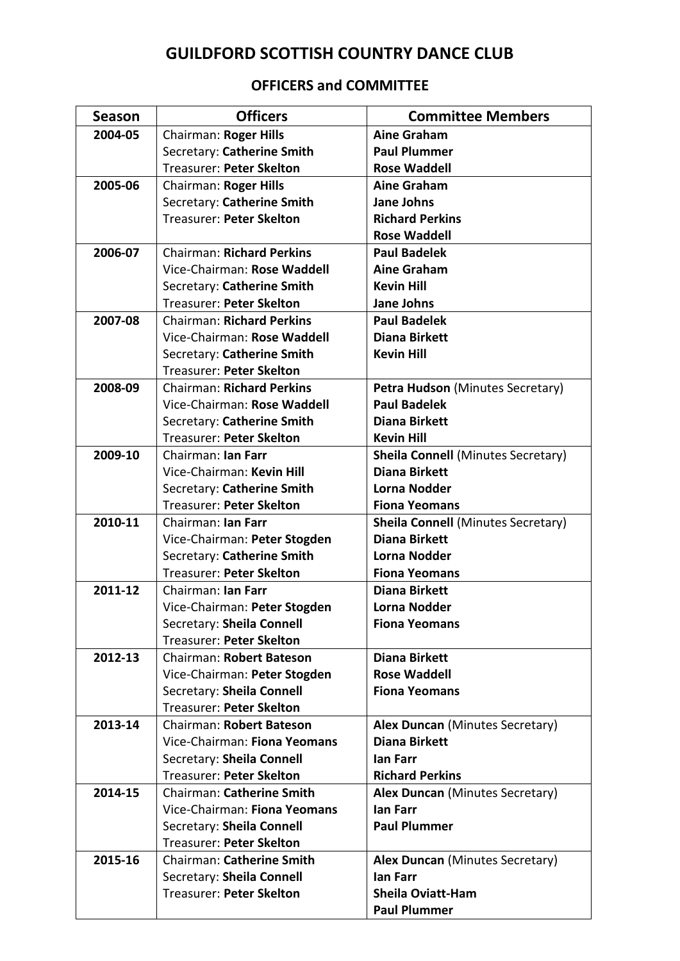## **GUILDFORD SCOTTISH COUNTRY DANCE CLUB**

## **OFFICERS and COMMITTEE**

| <b>Season</b> | <b>Officers</b>                  | <b>Committee Members</b>                  |
|---------------|----------------------------------|-------------------------------------------|
| 2004-05       | Chairman: Roger Hills            | <b>Aine Graham</b>                        |
|               | Secretary: Catherine Smith       | <b>Paul Plummer</b>                       |
|               | Treasurer: Peter Skelton         | <b>Rose Waddell</b>                       |
| 2005-06       | Chairman: Roger Hills            | <b>Aine Graham</b>                        |
|               | Secretary: Catherine Smith       | <b>Jane Johns</b>                         |
|               | <b>Treasurer: Peter Skelton</b>  | <b>Richard Perkins</b>                    |
|               |                                  | <b>Rose Waddell</b>                       |
| 2006-07       | <b>Chairman: Richard Perkins</b> | <b>Paul Badelek</b>                       |
|               | Vice-Chairman: Rose Waddell      | <b>Aine Graham</b>                        |
|               | Secretary: Catherine Smith       | <b>Kevin Hill</b>                         |
|               | <b>Treasurer: Peter Skelton</b>  | Jane Johns                                |
| 2007-08       | <b>Chairman: Richard Perkins</b> | <b>Paul Badelek</b>                       |
|               | Vice-Chairman: Rose Waddell      | <b>Diana Birkett</b>                      |
|               | Secretary: Catherine Smith       | <b>Kevin Hill</b>                         |
|               | Treasurer: Peter Skelton         |                                           |
| 2008-09       | <b>Chairman: Richard Perkins</b> | Petra Hudson (Minutes Secretary)          |
|               | Vice-Chairman: Rose Waddell      | <b>Paul Badelek</b>                       |
|               | Secretary: Catherine Smith       | <b>Diana Birkett</b>                      |
|               | <b>Treasurer: Peter Skelton</b>  | <b>Kevin Hill</b>                         |
| 2009-10       | Chairman: Ian Farr               | <b>Sheila Connell (Minutes Secretary)</b> |
|               | Vice-Chairman: Kevin Hill        | <b>Diana Birkett</b>                      |
|               | Secretary: Catherine Smith       | <b>Lorna Nodder</b>                       |
|               | <b>Treasurer: Peter Skelton</b>  | <b>Fiona Yeomans</b>                      |
| 2010-11       | Chairman: Ian Farr               | <b>Sheila Connell (Minutes Secretary)</b> |
|               | Vice-Chairman: Peter Stogden     | <b>Diana Birkett</b>                      |
|               | Secretary: Catherine Smith       | <b>Lorna Nodder</b>                       |
|               | <b>Treasurer: Peter Skelton</b>  | <b>Fiona Yeomans</b>                      |
| 2011-12       | Chairman: Ian Farr               | <b>Diana Birkett</b>                      |
|               | Vice-Chairman: Peter Stogden     | <b>Lorna Nodder</b>                       |
|               | Secretary: Sheila Connell        | <b>Fiona Yeomans</b>                      |
|               | Treasurer: Peter Skelton         |                                           |
| 2012-13       | Chairman: Robert Bateson         | <b>Diana Birkett</b>                      |
|               | Vice-Chairman: Peter Stogden     | <b>Rose Waddell</b>                       |
|               | Secretary: Sheila Connell        | <b>Fiona Yeomans</b>                      |
|               | Treasurer: Peter Skelton         |                                           |
| 2013-14       | Chairman: Robert Bateson         | Alex Duncan (Minutes Secretary)           |
|               | Vice-Chairman: Fiona Yeomans     | <b>Diana Birkett</b>                      |
|               | Secretary: Sheila Connell        | lan Farr                                  |
|               | Treasurer: Peter Skelton         | <b>Richard Perkins</b>                    |
| 2014-15       | <b>Chairman: Catherine Smith</b> | <b>Alex Duncan (Minutes Secretary)</b>    |
|               | Vice-Chairman: Fiona Yeomans     | lan Farr                                  |
|               | Secretary: Sheila Connell        | <b>Paul Plummer</b>                       |
|               | <b>Treasurer: Peter Skelton</b>  |                                           |
| 2015-16       | <b>Chairman: Catherine Smith</b> | <b>Alex Duncan (Minutes Secretary)</b>    |
|               | Secretary: Sheila Connell        | lan Farr                                  |
|               | Treasurer: Peter Skelton         | <b>Sheila Oviatt-Ham</b>                  |
|               |                                  | <b>Paul Plummer</b>                       |